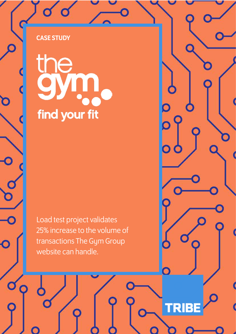find your fit

Load test project validates 25% increase to the volume of transactions The Gym Group website can handle.

**TRIBE** 

 $\mathbf 0$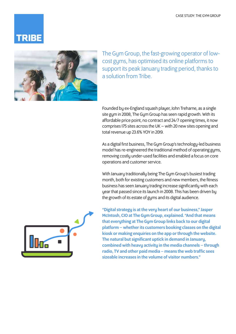



The Gym Group, the fast-growing operator of lowcost gyms, has optimised its online platforms to support its peak January trading period, thanks to a solution from Tribe.

Founded by ex-England squash player, John Treharne, as a single site gym in 2008, The Gym Group has seen rapid growth. With its affordable price point, no contract and 24/7 opening times, it now comprises 175 sites across the UK – with 20 new sites opening and total revenue up 23.6% YOY in 2019.

As a digital first business, The Gym Group's technology-led business model has re-engineered the traditional method of operating gyms, removing costly under-used facilities and enabled a focus on core operations and customer service.

With January traditionally being The Gym Group's busiest trading month, both for existing customers and new members, the fitness business has seen January trading increase significantly with each year that passed since its launch in 2008. This has been driven by the growth of its estate of gyms and its digital audience.



"Digital strategy is at the very heart of our business," Jasper McIntosh, CIO at The Gym Group, explained. "And that means that everything at The Gym Group links back to our digital platform – whether its customers booking classes on the digital kiosk or making enquiries on the app or through the website. The natural but significant uptick in demand in January, combined with heavy activity in the media channels – through radio, TV and other paid media – means the web traffic sees sizeable increases in the volume of visitor numbers."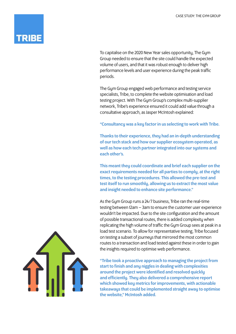To capitalise on the 2020 New Year sales opportunity, The Gym Group needed to ensure that the site could handle the expected volume of users, and that it was robust enough to deliver high performance levels and user experience during the peak traffic periods.

The Gym Group engaged web performance and testing service specialists, Tribe, to complete the website optimisation and load testing project. With The Gym Group's complex multi-supplier network, Tribe's experience ensured it could add value through a consultative approach, as Jasper McIntosh explained:

## "Consultancy was a key factor in us selecting to work with Tribe.

Thanks to their experience, they had an in-depth understanding of our tech stack and how our supplier ecosystem operated, as well as how each tech partner integrated into our systems and each other's.

This meant they could coordinate and brief each supplier on the exact requirements needed for all parties to comply, at the right times, to the testing procedures. This allowed the pre-test and test itself to run smoothly, allowing us to extract the most value and insight needed to enhance site performance."

As the Gym Group runs a 24/7 business, Tribe ran the real-time testing between 12am – 3am to ensure the customer user experience wouldn't be impacted. Due to the site configuration and the amount of possible transactional routes, there is added complexity when replicating the high volume of traffic the Gym Group sees at peak in a load test scenario. To allow for representative testing, Tribe focused on testing a subset of journeys that mirrored the most common routes to a transaction and load tested against these in order to gain the insights required to optimise web performance.

"Tribe took a proactive approach to managing the project from start to finish and any niggles in dealing with complexities around the project were identified and resolved quickly and efficiently. They also delivered a comprehensive report which showed key metrics for improvements, with actionable takeaways that could be implemented straight away to optimise the website," McIntosh added.

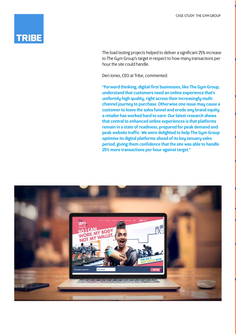## **TRIBE**

The load testing projects helped to deliver a significant 25% increase to The Gym Group's target in respect to how many transactions per hour the site could handle.

Deri Jones, CEO at Tribe, commented:

"Forward thinking, digital-first businesses, like The Gym Group, understand that customers need an online experience that's uniformly high quality, right across their increasingly multichannel journey to purchase. Otherwise one issue may cause a customer to leave the sales funnel and erode any brand equity a retailer has worked hard to earn. Our latest research shows that central to enhanced online experiences is that platforms remain in a state of readiness, prepared for peak demand and peak website traffic. We were delighted to help The Gym Group optimise its digital platforms ahead of its key January sales period, giving them confidence that the site was able to handle 25% more transactions per hour against target."